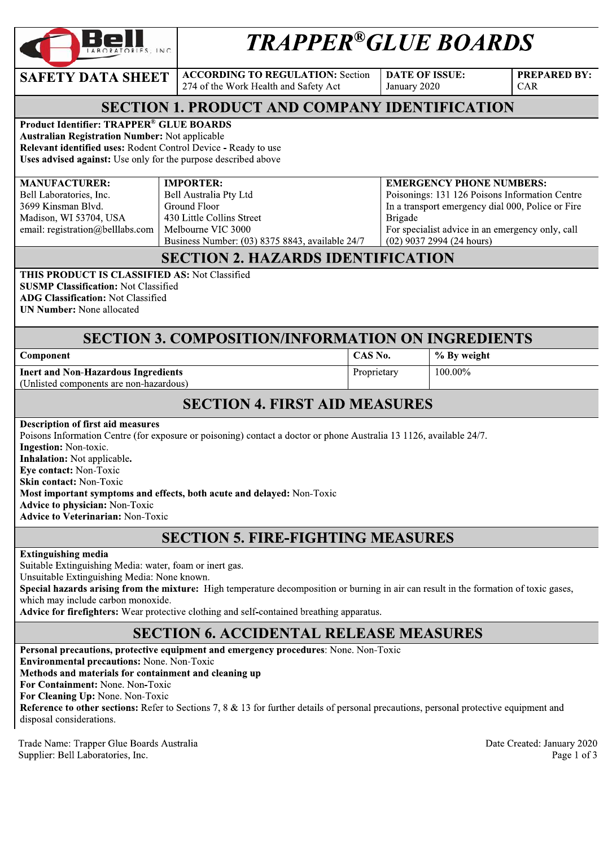| LABORATORIES, INC. |  |
|--------------------|--|
|                    |  |

 $\textbf{SAFETY DATA SHEET}$   $\begin{array}{|c|c|c|c|}\n\end{array}$  according to regulation: Section

DATE OF ISSUE: January 2020

PREPARED BY:  $CAR$ 

## SECTION 1. PRODUCT AND COMPANY IDENTIFICATION

Product Identifier: TRAPPER® GLUE BOARDS Australian Registration Number: Not applicable

**Relevant identified uses:** Rodent Control Device - Ready to use Uses advised against: Use only for the purpose described above

#### MANUFACTURER:

 $\overline{\phantom{a}}$ 

Bell Laboratories, Inc. 3699 Kinsman Blvd. Madison, WI 53704, USA email: registrat **FURER:**<br>
ories, Inc.<br>
m Blvd.<br>
53704, USA<br>
ation@belllabs.com<br>
Melbourne VIC ?

#### Bell Australia Pty Ltd Ground Floor .<br>... 430 Little Collins Street

Melbourne VIC 3000 Business Number:  $(03)$  83/5 8843, available 24//

# **EXERCISE ANTENTY DATA SHEET**<br>
SAFETY DATA SHEET ACCORDING TO REGULATION: Section DATE OF ISSUE:<br>  $274$  of the Work Health and Safety Act<br> **SECTION 1. PRODUCT AND COMPANY IDENTIFICATION**<br>
Product Identifier: TRAPPER<sup>®</sup> CL EMERGENCY PHONE NUMBERS: Poisonings: 131 126 Poisons Information Centre In a transport emergency dial 000, Police or Fire Brigade For specialist advice in an emergency only, call  $(02)$  903 / 2994 (24 hours)

### SECTION 2. HAZARDS IDENTIFICATION

THIS PRODUCT IS CLASSIFIED AS: Not Classified **SUSMP Classification: Not Classified** ADG Classification: Not Classified **UN Number:** None allocated

#### **SECTION 3. COMPOSITION/INFORMATION ON INGREDIENTS**

| Component                                  | CAS No.     | % By weight |
|--------------------------------------------|-------------|-------------|
| <b>Inert and Non-Hazardous Ingredients</b> | Proprietary | $100.00\%$  |
| (Unlisted components are non-hazardous)    |             |             |

# **SECTION 4. FIRST AID MEASURES**

Description of first aid measures Poisons Information Centre (for exposure or poisoning) contact a doctor or phone Australia 13 1126, available 24//. **Ingestion:** Non-toxic. Inhalation: Not applicable. Eve contact: Non-Toxic Skin contact: Non-Toxic Most important symptoms and effects, both acute and delayed: Non-Toxic Advice to physician: Non-Toxic Advice to Veterinarian: Non-Toxic

#### **SECTION 5. FIRE-FIGHTING MEASURES**

Extinguishing media

Suitable Extinguishing Media: water, foam or inert gas.

Unsuitable Extinguishing Media: None known.

Special hazards arising from the mixture: High temperature decomposition or burning in air can result in the formation of toxic gases, which may include carbon monoxide.

Advice for firefighters: Wear protective clothing and self-contained breathing apparatus.

#### **SECTION 6. ACCIDENTAL RELEASE MEASURES**

Personal precautions, protective equipment and emergency procedures: None. Non-Toxic Environmental precautions: None. Non-Toxic Methods and materials for containment and cleaning up For Containment: None. Non-Toxic For Cleaning Up: None. Non-Toxic **Reference to other sections:** Refer to Sections  $\lambda$ , 8  $\&$  13 for further details of personal precautions, personal protective equipment and disposal considerations.

Trade Name: Trapper Glue Boards Austral Supplier: Bell Laboratorie

alia di Date Crea eated: January 2020  $1$  es, Inc. Page 1 of 3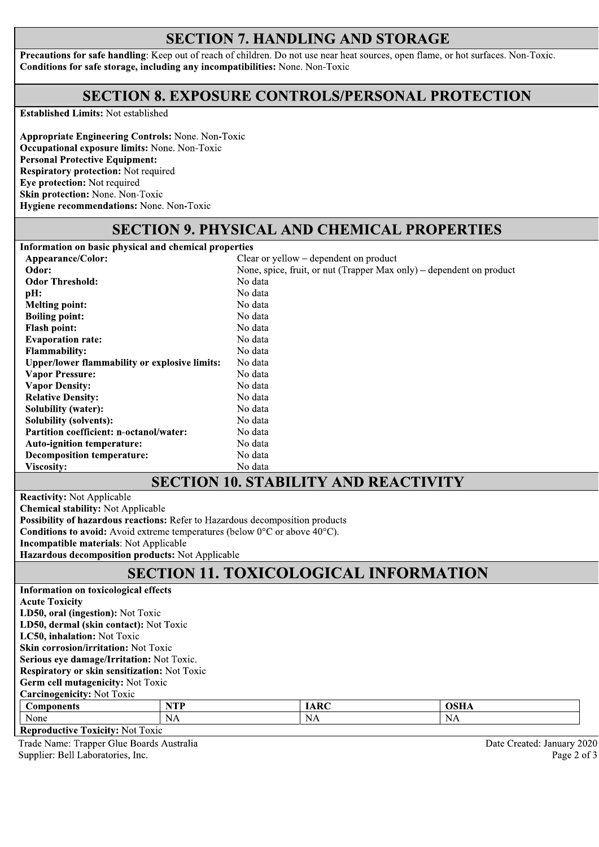### **SECTION 7. HANDLING AND STORAGE**

Precautions for safe handling: Keep out of reach of children. Do not use near heat sources, open flame, or hot surfaces. Non-Toxic. Conditions for safe storage, including any incompatibilities: None. Non-Toxic

#### **SECTION 8. EXPOSURE CONTROLS/PERSONAL PROTECTION**

**Established Limits: Not established** 

**Appropriate Engineering Controls: None. Non-Toxic** Occupational exposure limits: None. Non-Toxic **Personal Protective Equipment: Respiratory protection:** Not required Eve protection: Not required Skin protection: None. Non-Toxic Hygiene recommendations: None. Non-Toxic

#### **SECTION 9. PHYSICAL AND CHEMICAL PROPERTIES**

Information on basic physical and chemical properties Appearance/Color: Clear or yellow – dependent on product Odor: None, spice, fruit, or nut (Trapper Max only) – dependent on product **Odor Threshold:** No data pH: No data **Melting point:** No data **Boiling point:** No data **Flash point:** No data **Evaporation rate:** No data Flammability: No data **Upper/lower flammability or explosive limits:** No data **Vapor Pressure:** No data **Vapor Density:** No data **Relative Density:** No data **Solubility (water):** No data **Solubility (solvents):** No data Partition coefficient: n-octanol/water: No data **Auto-ignition temperature:** No data **Decomposition temperature:** No data Viscosity: No data **SECTION 10. STABILITY AND REACTIVITY** 

**Reactivity:** Not Applicable **Chemical stability: Not Applicable** Possibility of hazardous reactions: Refer to Hazardous decomposition products **Conditions to avoid:** Avoid extreme temperatures (below  $0^{\circ}$ C or above  $40^{\circ}$ C). **Incompatible materials: Not Applicable** Hazardous decomposition products: Not Applicable

## **SECTION 11. TOXICOLOGICAL INFORMATION**

| Information on toxicological effects         |            |             |             |  |  |  |
|----------------------------------------------|------------|-------------|-------------|--|--|--|
| <b>Acute Toxicity</b>                        |            |             |             |  |  |  |
| LD50, oral (ingestion): Not Toxic            |            |             |             |  |  |  |
| LD50, dermal (skin contact): Not Toxic       |            |             |             |  |  |  |
| LC50, inhalation: Not Toxic                  |            |             |             |  |  |  |
| <b>Skin corrosion/irritation: Not Toxic</b>  |            |             |             |  |  |  |
| Serious eye damage/Irritation: Not Toxic.    |            |             |             |  |  |  |
| Respiratory or skin sensitization: Not Toxic |            |             |             |  |  |  |
| <b>Germ cell mutagenicity: Not Toxic</b>     |            |             |             |  |  |  |
| <b>Carcinogenicity: Not Toxic</b>            |            |             |             |  |  |  |
| <b>Components</b>                            | <b>NTP</b> | <b>IARC</b> | <b>OSHA</b> |  |  |  |
| None                                         | NA         | NA          | NA          |  |  |  |
| Donnadu ativo Toylettus Mat Taxis            |            |             |             |  |  |  |

**Reproductive Toxicity: Not Toxic** Trade Name: Trapper Glue Boards Australia

Supplier: Bell Laboratories, Inc.

Date Created: January 2020 Page 2 of 3